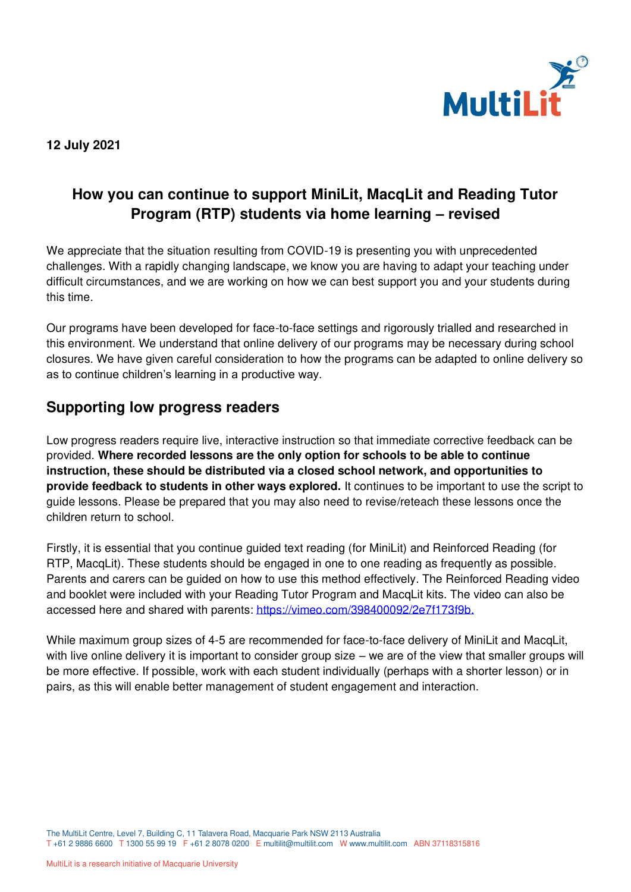

**12 July 2021**

# **How you can continue to support MiniLit, MacqLit and Reading Tutor Program (RTP) students via home learning – revised**

We appreciate that the situation resulting from COVID-19 is presenting you with unprecedented challenges. With a rapidly changing landscape, we know you are having to adapt your teaching under difficult circumstances, and we are working on how we can best support you and your students during this time.

Our programs have been developed for face-to-face settings and rigorously trialled and researched in this environment. We understand that online delivery of our programs may be necessary during school closures. We have given careful consideration to how the programs can be adapted to online delivery so as to continue children's learning in a productive way.

## **Supporting low progress readers**

Low progress readers require live, interactive instruction so that immediate corrective feedback can be provided. **Where recorded lessons are the only option for schools to be able to continue instruction, these should be distributed via a closed school network, and opportunities to provide feedback to students in other ways explored.** It continues to be important to use the script to guide lessons. Please be prepared that you may also need to revise/reteach these lessons once the children return to school.

Firstly, it is essential that you continue guided text reading (for MiniLit) and Reinforced Reading (for RTP, MacqLit). These students should be engaged in one to one reading as frequently as possible. Parents and carers can be guided on how to use this method effectively. The Reinforced Reading video and booklet were included with your Reading Tutor Program and MacqLit kits. The video can also be accessed here and shared with parents: [https://vimeo.com/398400092/2e7f173f9b.](https://vimeo.com/398400092/2e7f173f9b)

While maximum group sizes of 4-5 are recommended for face-to-face delivery of MiniLit and MacqLit, with live online delivery it is important to consider group size – we are of the view that smaller groups will be more effective. If possible, work with each student individually (perhaps with a shorter lesson) or in pairs, as this will enable better management of student engagement and interaction.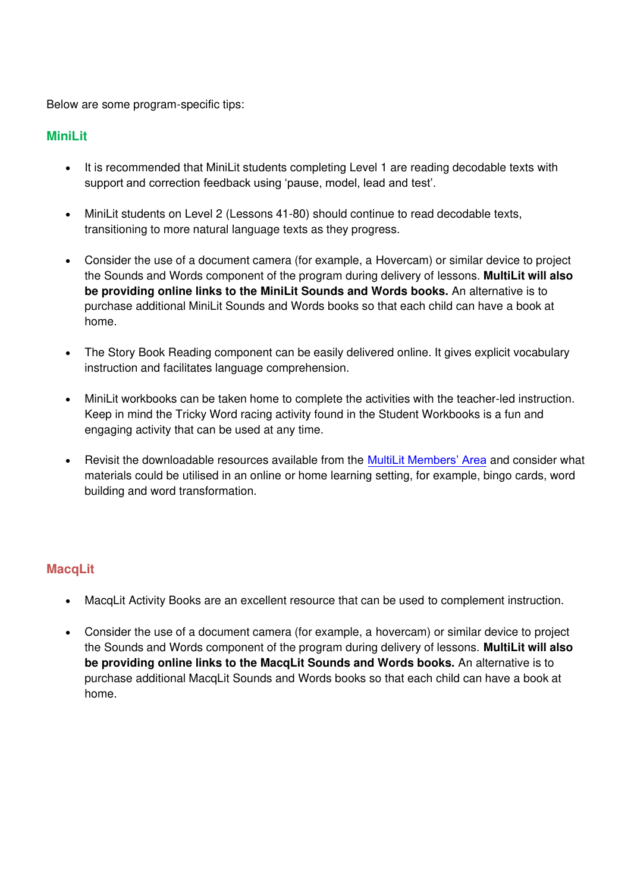Below are some program-specific tips:

#### **MiniLit**

- It is recommended that MiniLit students completing Level 1 are reading decodable texts with support and correction feedback using 'pause, model, lead and test'.
- MiniLit students on Level 2 (Lessons 41-80) should continue to read decodable texts, transitioning to more natural language texts as they progress.
- Consider the use of a document camera (for example, a Hovercam) or similar device to project the Sounds and Words component of the program during delivery of lessons. **MultiLit will also be providing online links to the MiniLit Sounds and Words books.** An alternative is to purchase additional MiniLit Sounds and Words books so that each child can have a book at home.
- The Story Book Reading component can be easily delivered online. It gives explicit vocabulary instruction and facilitates language comprehension.
- MiniLit workbooks can be taken home to complete the activities with the teacher-led instruction. Keep in mind the Tricky Word racing activity found in the Student Workbooks is a fun and engaging activity that can be used at any time.
- Revisit the downloadable resources available from the [MultiLit Members' Area](https://customer.multilit.com/login/) and consider what materials could be utilised in an online or home learning setting, for example, bingo cards, word building and word transformation.

### **MacqLit**

- MacqLit Activity Books are an excellent resource that can be used to complement instruction.
- Consider the use of a document camera (for example, a hovercam) or similar device to project the Sounds and Words component of the program during delivery of lessons. **MultiLit will also be providing online links to the MacqLit Sounds and Words books.** An alternative is to purchase additional MacqLit Sounds and Words books so that each child can have a book at home.